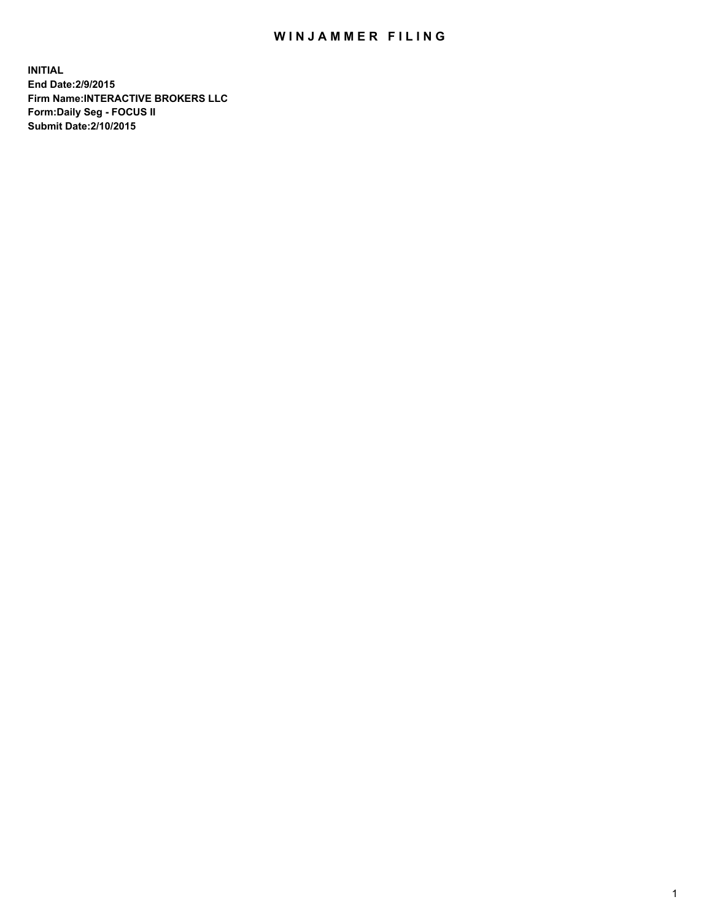## WIN JAMMER FILING

**INITIAL End Date:2/9/2015 Firm Name:INTERACTIVE BROKERS LLC Form:Daily Seg - FOCUS II Submit Date:2/10/2015**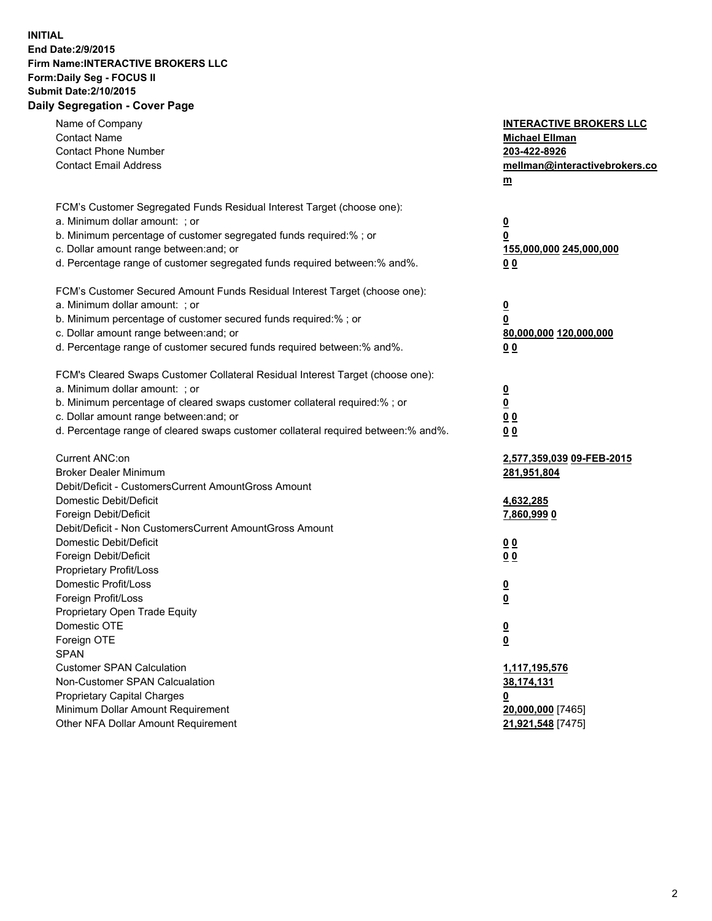## **INITIAL End Date:2/9/2015 Firm Name:INTERACTIVE BROKERS LLC Form:Daily Seg - FOCUS II Submit Date:2/10/2015 Daily Segregation - Cover Page**

| Name of Company                                                                   | <b>INTERACTIVE BROKERS LLC</b> |
|-----------------------------------------------------------------------------------|--------------------------------|
| <b>Contact Name</b>                                                               | <b>Michael Ellman</b>          |
| <b>Contact Phone Number</b>                                                       | 203-422-8926                   |
| <b>Contact Email Address</b>                                                      | mellman@interactivebrokers.co  |
|                                                                                   | m                              |
|                                                                                   |                                |
| FCM's Customer Segregated Funds Residual Interest Target (choose one):            |                                |
| a. Minimum dollar amount: ; or                                                    | $\overline{\mathbf{0}}$        |
| b. Minimum percentage of customer segregated funds required:% ; or                | 0                              |
| c. Dollar amount range between: and; or                                           | 155,000,000 245,000,000        |
| d. Percentage range of customer segregated funds required between:% and%.         | 0 <sub>0</sub>                 |
| FCM's Customer Secured Amount Funds Residual Interest Target (choose one):        |                                |
| a. Minimum dollar amount: ; or                                                    |                                |
| b. Minimum percentage of customer secured funds required:% ; or                   | $\overline{\mathbf{0}}$<br>0   |
| c. Dollar amount range between: and; or                                           | 80,000,000 120,000,000         |
| d. Percentage range of customer secured funds required between:% and%.            | 0 <sub>0</sub>                 |
|                                                                                   |                                |
| FCM's Cleared Swaps Customer Collateral Residual Interest Target (choose one):    |                                |
| a. Minimum dollar amount: ; or                                                    | $\overline{\mathbf{0}}$        |
| b. Minimum percentage of cleared swaps customer collateral required:% ; or        | $\overline{\mathbf{0}}$        |
| c. Dollar amount range between: and; or                                           | 0 <sub>0</sub>                 |
| d. Percentage range of cleared swaps customer collateral required between:% and%. | 0 <sub>0</sub>                 |
|                                                                                   |                                |
| Current ANC:on                                                                    | 2,577,359,039 09-FEB-2015      |
| <b>Broker Dealer Minimum</b>                                                      | 281,951,804                    |
| Debit/Deficit - CustomersCurrent AmountGross Amount                               |                                |
| Domestic Debit/Deficit                                                            | 4,632,285                      |
| Foreign Debit/Deficit                                                             | 7,860,9990                     |
| Debit/Deficit - Non CustomersCurrent AmountGross Amount                           |                                |
| Domestic Debit/Deficit                                                            | 0 <sub>0</sub>                 |
| Foreign Debit/Deficit                                                             | 0 <sub>0</sub>                 |
| Proprietary Profit/Loss                                                           |                                |
| Domestic Profit/Loss                                                              | <u>0</u>                       |
| Foreign Profit/Loss                                                               | $\overline{\mathbf{0}}$        |
| Proprietary Open Trade Equity<br>Domestic OTE                                     |                                |
| Foreign OTE                                                                       | <u>0</u>                       |
| <b>SPAN</b>                                                                       | <u>0</u>                       |
| <b>Customer SPAN Calculation</b>                                                  | 1,117,195,576                  |
| Non-Customer SPAN Calcualation                                                    | 38,174,131                     |
| <b>Proprietary Capital Charges</b>                                                |                                |
| Minimum Dollar Amount Requirement                                                 | <u>0</u><br>20,000,000 [7465]  |
| Other NFA Dollar Amount Requirement                                               | 21,921,548 [7475]              |
|                                                                                   |                                |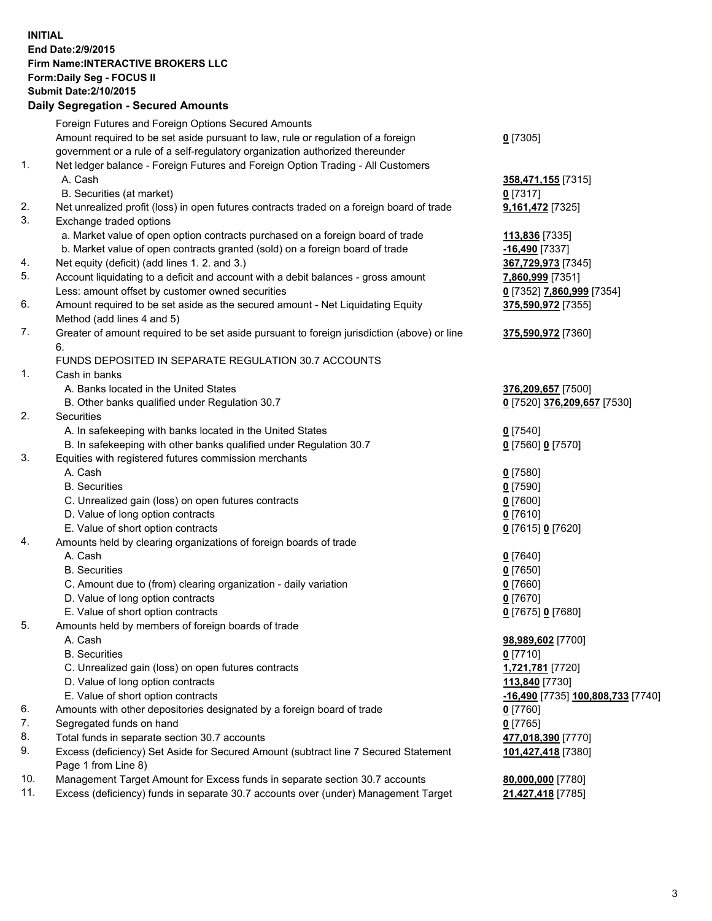## **INITIAL End Date:2/9/2015 Firm Name:INTERACTIVE BROKERS LLC Form:Daily Seg - FOCUS II Submit Date:2/10/2015 Daily Segregation - Secured Amounts**

|     | Daily Ocglegation - Occarea Anioants                                                        |                                   |
|-----|---------------------------------------------------------------------------------------------|-----------------------------------|
|     | Foreign Futures and Foreign Options Secured Amounts                                         |                                   |
|     | Amount required to be set aside pursuant to law, rule or regulation of a foreign            | $0$ [7305]                        |
|     | government or a rule of a self-regulatory organization authorized thereunder                |                                   |
| 1.  | Net ledger balance - Foreign Futures and Foreign Option Trading - All Customers             |                                   |
|     | A. Cash                                                                                     | 358,471,155 [7315]                |
|     | B. Securities (at market)                                                                   | $0$ [7317]                        |
| 2.  | Net unrealized profit (loss) in open futures contracts traded on a foreign board of trade   | 9,161,472 [7325]                  |
| 3.  | Exchange traded options                                                                     |                                   |
|     | a. Market value of open option contracts purchased on a foreign board of trade              | 113,836 [7335]                    |
|     | b. Market value of open contracts granted (sold) on a foreign board of trade                | $-16,490$ [7337]                  |
| 4.  | Net equity (deficit) (add lines 1. 2. and 3.)                                               | 367,729,973 [7345]                |
| 5.  | Account liquidating to a deficit and account with a debit balances - gross amount           | 7,860,999 [7351]                  |
|     | Less: amount offset by customer owned securities                                            | 0 [7352] 7,860,999 [7354]         |
| 6.  | Amount required to be set aside as the secured amount - Net Liquidating Equity              | 375,590,972 [7355]                |
|     | Method (add lines 4 and 5)                                                                  |                                   |
| 7.  | Greater of amount required to be set aside pursuant to foreign jurisdiction (above) or line | 375,590,972 [7360]                |
|     | 6.                                                                                          |                                   |
|     | FUNDS DEPOSITED IN SEPARATE REGULATION 30.7 ACCOUNTS                                        |                                   |
| 1.  | Cash in banks                                                                               |                                   |
|     | A. Banks located in the United States                                                       | 376,209,657 [7500]                |
|     | B. Other banks qualified under Regulation 30.7                                              | 0 [7520] 376,209,657 [7530]       |
| 2.  | Securities                                                                                  |                                   |
|     | A. In safekeeping with banks located in the United States                                   | $0$ [7540]                        |
|     | B. In safekeeping with other banks qualified under Regulation 30.7                          | 0 [7560] 0 [7570]                 |
| 3.  | Equities with registered futures commission merchants                                       |                                   |
|     | A. Cash                                                                                     | $0$ [7580]                        |
|     | <b>B.</b> Securities                                                                        | $0$ [7590]                        |
|     | C. Unrealized gain (loss) on open futures contracts                                         | $0$ [7600]                        |
|     | D. Value of long option contracts                                                           | $0$ [7610]                        |
|     | E. Value of short option contracts                                                          | 0 [7615] 0 [7620]                 |
| 4.  | Amounts held by clearing organizations of foreign boards of trade                           |                                   |
|     | A. Cash                                                                                     | $0$ [7640]                        |
|     | <b>B.</b> Securities                                                                        | $0$ [7650]                        |
|     | C. Amount due to (from) clearing organization - daily variation                             | $0$ [7660]                        |
|     | D. Value of long option contracts                                                           | $0$ [7670]                        |
|     | E. Value of short option contracts                                                          | 0 [7675] 0 [7680]                 |
| 5.  | Amounts held by members of foreign boards of trade                                          |                                   |
|     | A. Cash                                                                                     | 98,989,602 [7700]                 |
|     | <b>B.</b> Securities                                                                        | $0$ [7710]                        |
|     | C. Unrealized gain (loss) on open futures contracts                                         | 1,721,781 [7720]                  |
|     | D. Value of long option contracts                                                           | 113,840 [7730]                    |
|     | E. Value of short option contracts                                                          | -16,490 [7735] 100,808,733 [7740] |
| 6.  | Amounts with other depositories designated by a foreign board of trade                      | 0 [7760]                          |
| 7.  | Segregated funds on hand                                                                    | $0$ [7765]                        |
| 8.  | Total funds in separate section 30.7 accounts                                               | 477,018,390 [7770]                |
| 9.  | Excess (deficiency) Set Aside for Secured Amount (subtract line 7 Secured Statement         | 101,427,418 [7380]                |
|     | Page 1 from Line 8)                                                                         |                                   |
| 10. | Management Target Amount for Excess funds in separate section 30.7 accounts                 | 80,000,000 [7780]                 |
| 11. | Excess (deficiency) funds in separate 30.7 accounts over (under) Management Target          | 21,427,418 [7785]                 |
|     |                                                                                             |                                   |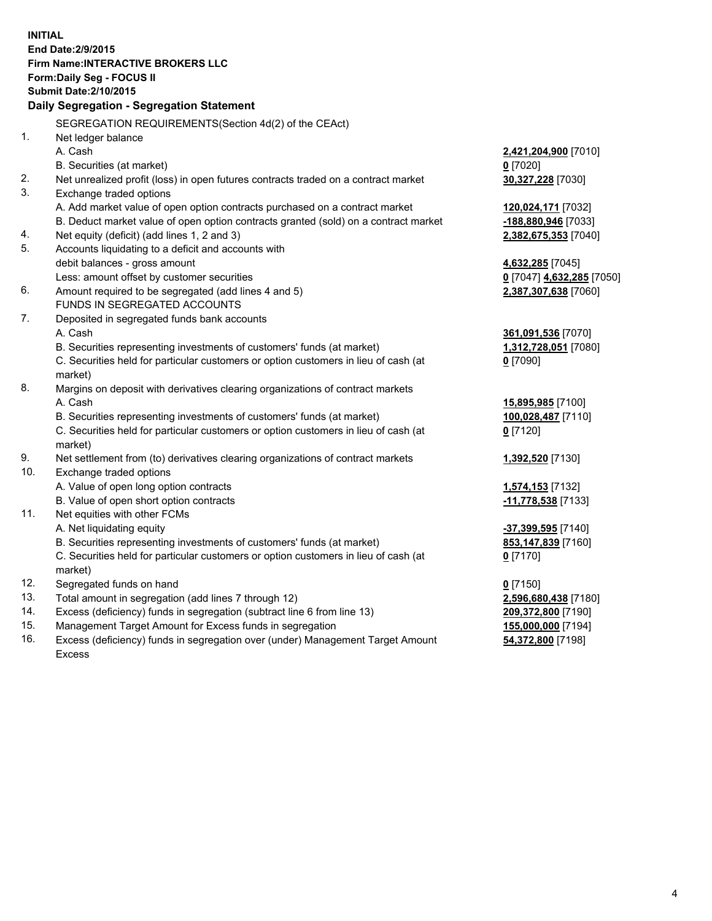**INITIAL End Date:2/9/2015 Firm Name:INTERACTIVE BROKERS LLC Form:Daily Seg - FOCUS II Submit Date:2/10/2015 Daily Segregation - Segregation Statement** SEGREGATION REQUIREMENTS(Section 4d(2) of the CEAct) 1. Net ledger balance A. Cash **2,421,204,900** [7010] B. Securities (at market) **0** [7020] 2. Net unrealized profit (loss) in open futures contracts traded on a contract market **30,327,228** [7030] 3. Exchange traded options A. Add market value of open option contracts purchased on a contract market **120,024,171** [7032] B. Deduct market value of open option contracts granted (sold) on a contract market **-188,880,946** [7033] 4. Net equity (deficit) (add lines 1, 2 and 3) **2,382,675,353** [7040] 5. Accounts liquidating to a deficit and accounts with debit balances - gross amount **4,632,285** [7045] Less: amount offset by customer securities **0** [7047] **4,632,285** [7050] 6. Amount required to be segregated (add lines 4 and 5) **2,387,307,638** [7060] FUNDS IN SEGREGATED ACCOUNTS 7. Deposited in segregated funds bank accounts A. Cash **361,091,536** [7070] B. Securities representing investments of customers' funds (at market) **1,312,728,051** [7080] C. Securities held for particular customers or option customers in lieu of cash (at market) **0** [7090] 8. Margins on deposit with derivatives clearing organizations of contract markets A. Cash **15,895,985** [7100] B. Securities representing investments of customers' funds (at market) **100,028,487** [7110] C. Securities held for particular customers or option customers in lieu of cash (at market) **0** [7120] 9. Net settlement from (to) derivatives clearing organizations of contract markets **1,392,520** [7130] 10. Exchange traded options A. Value of open long option contracts **1,574,153** [7132] B. Value of open short option contracts **-11,778,538** [7133] 11. Net equities with other FCMs A. Net liquidating equity **-37,399,595** [7140] B. Securities representing investments of customers' funds (at market) **853,147,839** [7160] C. Securities held for particular customers or option customers in lieu of cash (at market) **0** [7170] 12. Segregated funds on hand **0** [7150] 13. Total amount in segregation (add lines 7 through 12) **2,596,680,438** [7180] 14. Excess (deficiency) funds in segregation (subtract line 6 from line 13) **209,372,800** [7190] 15. Management Target Amount for Excess funds in segregation **155,000,000** [7194]

16. Excess (deficiency) funds in segregation over (under) Management Target Amount Excess

**54,372,800** [7198]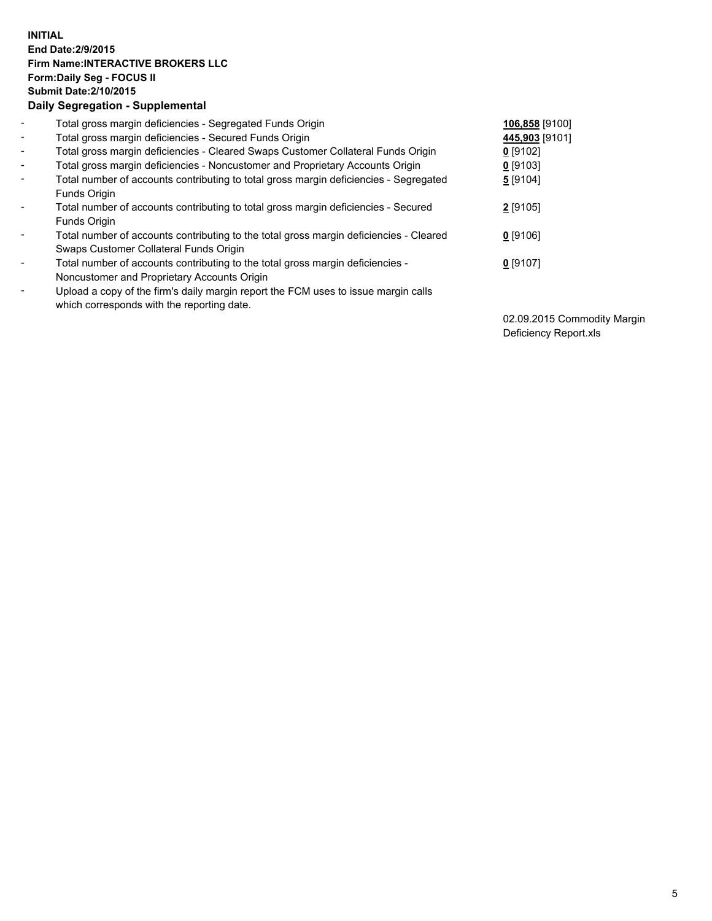## **INITIAL End Date:2/9/2015 Firm Name:INTERACTIVE BROKERS LLC Form:Daily Seg - FOCUS II Submit Date:2/10/2015 Daily Segregation - Supplemental**

| $\blacksquare$           | Total gross margin deficiencies - Segregated Funds Origin                              | 106,858 [9100] |
|--------------------------|----------------------------------------------------------------------------------------|----------------|
| $\blacksquare$           | Total gross margin deficiencies - Secured Funds Origin                                 | 445,903 [9101] |
| $\blacksquare$           | Total gross margin deficiencies - Cleared Swaps Customer Collateral Funds Origin       | $0$ [9102]     |
| $\blacksquare$           | Total gross margin deficiencies - Noncustomer and Proprietary Accounts Origin          | $0$ [9103]     |
| $\blacksquare$           | Total number of accounts contributing to total gross margin deficiencies - Segregated  | 5 [9104]       |
|                          | Funds Origin                                                                           |                |
| $\blacksquare$           | Total number of accounts contributing to total gross margin deficiencies - Secured     | $2$ [9105]     |
|                          | Funds Origin                                                                           |                |
| $\overline{\phantom{a}}$ | Total number of accounts contributing to the total gross margin deficiencies - Cleared | $0$ [9106]     |
|                          | Swaps Customer Collateral Funds Origin                                                 |                |
| -                        | Total number of accounts contributing to the total gross margin deficiencies -         | $0$ [9107]     |
|                          | Noncustomer and Proprietary Accounts Origin                                            |                |
| $\blacksquare$           | Upload a copy of the firm's daily margin report the FCM uses to issue margin calls     |                |
|                          | which corresponds with the reporting date.                                             |                |

02.09.2015 Commodity Margin Deficiency Report.xls